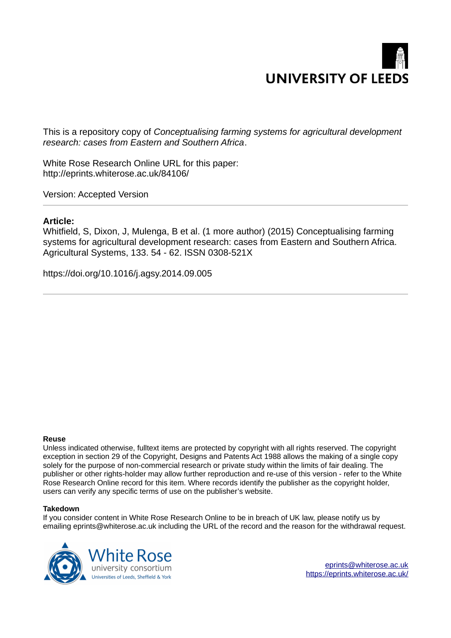

This is a repository copy of *Conceptualising farming systems for agricultural development research: cases from Eastern and Southern Africa*.

White Rose Research Online URL for this paper: http://eprints.whiterose.ac.uk/84106/

Version: Accepted Version

## **Article:**

Whitfield, S, Dixon, J, Mulenga, B et al. (1 more author) (2015) Conceptualising farming systems for agricultural development research: cases from Eastern and Southern Africa. Agricultural Systems, 133. 54 - 62. ISSN 0308-521X

https://doi.org/10.1016/j.agsy.2014.09.005

#### **Reuse**

Unless indicated otherwise, fulltext items are protected by copyright with all rights reserved. The copyright exception in section 29 of the Copyright, Designs and Patents Act 1988 allows the making of a single copy solely for the purpose of non-commercial research or private study within the limits of fair dealing. The publisher or other rights-holder may allow further reproduction and re-use of this version - refer to the White Rose Research Online record for this item. Where records identify the publisher as the copyright holder, users can verify any specific terms of use on the publisher's website.

#### **Takedown**

If you consider content in White Rose Research Online to be in breach of UK law, please notify us by emailing eprints@whiterose.ac.uk including the URL of the record and the reason for the withdrawal request.

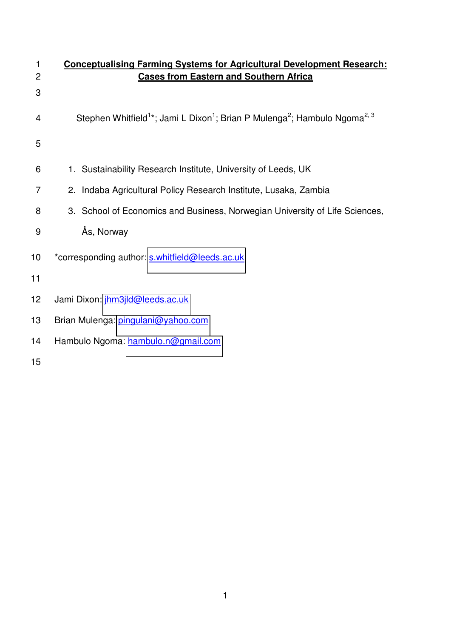| 1<br>$\overline{2}$ | <b>Conceptualising Farming Systems for Agricultural Development Research:</b><br><b>Cases from Eastern and Southern Africa</b> |  |  |  |  |  |
|---------------------|--------------------------------------------------------------------------------------------------------------------------------|--|--|--|--|--|
| 3                   |                                                                                                                                |  |  |  |  |  |
| 4                   | Stephen Whitfield <sup>1*</sup> ; Jami L Dixon <sup>1</sup> ; Brian P Mulenga <sup>2</sup> ; Hambulo Ngoma <sup>2, 3</sup>     |  |  |  |  |  |
| 5                   |                                                                                                                                |  |  |  |  |  |
| 6                   | 1. Sustainability Research Institute, University of Leeds, UK                                                                  |  |  |  |  |  |
| 7                   | 2. Indaba Agricultural Policy Research Institute, Lusaka, Zambia                                                               |  |  |  |  |  |
| 8                   | 3. School of Economics and Business, Norwegian University of Life Sciences,                                                    |  |  |  |  |  |
| 9                   | Ås, Norway                                                                                                                     |  |  |  |  |  |
| 10                  | *corresponding author: s.whitfield@leeds.ac.uk                                                                                 |  |  |  |  |  |
| 11                  |                                                                                                                                |  |  |  |  |  |
| 12                  | Jami Dixon: jhm3jld@leeds.ac.uk                                                                                                |  |  |  |  |  |
| 13                  | Brian Mulenga: pingulani@yahoo.com                                                                                             |  |  |  |  |  |
| 14                  | Hambulo Ngoma: hambulo.n@gmail.com                                                                                             |  |  |  |  |  |
| 15                  |                                                                                                                                |  |  |  |  |  |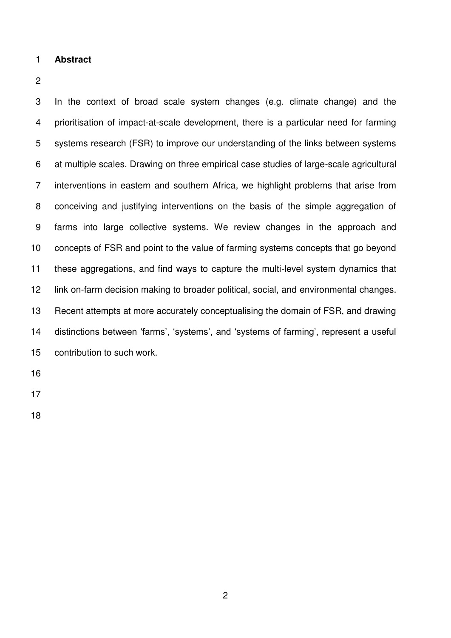### **Abstract**

3 In the context of broad scale system changes (e.g. climate change) and the 4 prioritisation of impact-at-scale development, there is a particular need for farming 5 systems research (FSR) to improve our understanding of the links between systems 6 at multiple scales. Drawing on three empirical case studies of large-scale agricultural 7 interventions in eastern and southern Africa, we highlight problems that arise from 8 conceiving and justifying interventions on the basis of the simple aggregation of 9 farms into large collective systems. We review changes in the approach and concepts of FSR and point to the value of farming systems concepts that go beyond these aggregations, and find ways to capture the multi-level system dynamics that link on-farm decision making to broader political, social, and environmental changes. Recent attempts at more accurately conceptualising the domain of FSR, and drawing distinctions between 'farms', 'systems', and 'systems of farming', represent a useful contribution to such work.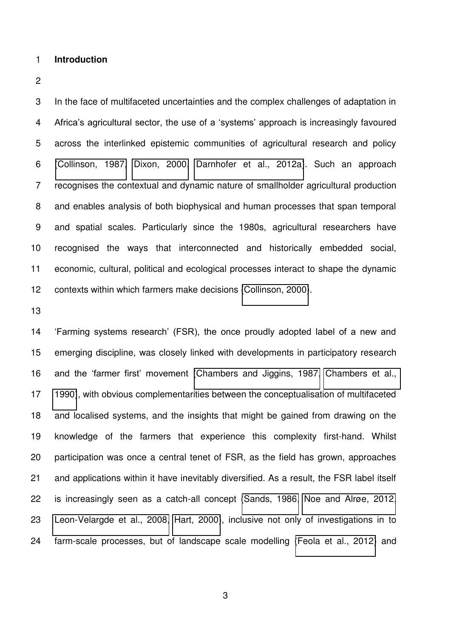#### **Introduction**

3 In the face of multifaceted uncertainties and the complex challenges of adaptation in Africa's agricultural sector, the use of a 'systems' approach is increasingly favoured 5 across the interlinked epistemic communities of agricultural research and policy [\(Collinson, 1987,](#page-36-0) [Dixon, 2000,](#page-36-1) [Darnhofer et al., 2012a\)](#page-36-2). Such an approach 7 recognises the contextual and dynamic nature of smallholder agricultural production 8 and enables analysis of both biophysical and human processes that span temporal 9 and spatial scales. Particularly since the 1980s, agricultural researchers have recognised the ways that interconnected and historically embedded social, economic, cultural, political and ecological processes interact to shape the dynamic contexts within which farmers make decisions [\(Collinson, 2000\)](#page-36-3).

 'Farming systems research' (FSR), the once proudly adopted label of a new and emerging discipline, was closely linked with developments in participatory research and the 'farmer first' movement [\(Chambers and Jiggins, 1987,](#page-36-4) [Chambers et al.,](#page-36-5)  [1990\)](#page-36-5), with obvious complementarities between the conceptualisation of multifaceted and localised systems, and the insights that might be gained from drawing on the knowledge of the farmers that experience this complexity first-hand. Whilst participation was once a central tenet of FSR, as the field has grown, approaches and applications within it have inevitably diversified. As a result, the FSR label itself is increasingly seen as a catch-all concept [\(Sands, 1986,](#page-38-0) [Noe and Alrøe, 2012,](#page-38-1) [Leon-Velargde et al., 2008,](#page-37-0) [Hart, 2000\)](#page-37-1), inclusive not only of investigations in to farm-scale processes, but of landscape scale modelling [\(Feola et al., 2012\)](#page-37-2) and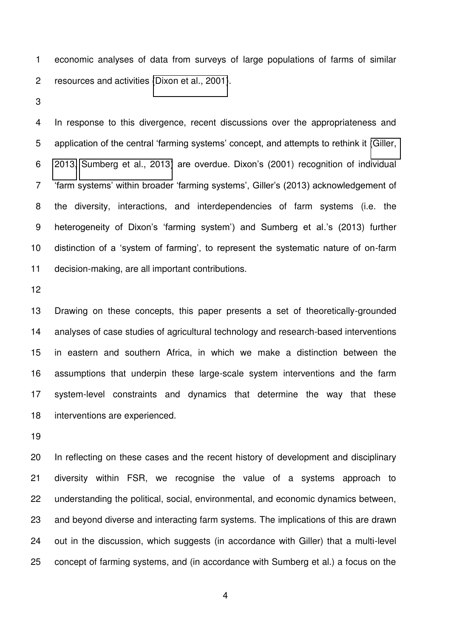1 economic analyses of data from surveys of large populations of farms of similar 2 resources and activities [\(Dixon et al., 2001\)](#page-36-6).

4 In response to this divergence, recent discussions over the appropriateness and application of the central 'farming systems' concept, and attempts to rethink it [\(Giller,](#page-37-3)  [2013,](#page-37-3) [Sumberg et al., 2013\)](#page-38-2) are overdue. Dixon's (2001) recognition of individual 'farm systems' within broader 'farming systems', Giller's (2013) acknowledgement of 8 the diversity, interactions, and interdependencies of farm systems (i.e. the heterogeneity of Dixon's 'farming system') and Sumberg et al.'s (2013) further distinction of a 'system of farming', to represent the systematic nature of on-farm decision-making, are all important contributions.

 Drawing on these concepts, this paper presents a set of theoretically-grounded analyses of case studies of agricultural technology and research-based interventions in eastern and southern Africa, in which we make a distinction between the assumptions that underpin these large-scale system interventions and the farm system-level constraints and dynamics that determine the way that these interventions are experienced.

 In reflecting on these cases and the recent history of development and disciplinary diversity within FSR, we recognise the value of a systems approach to understanding the political, social, environmental, and economic dynamics between, and beyond diverse and interacting farm systems. The implications of this are drawn out in the discussion, which suggests (in accordance with Giller) that a multi-level concept of farming systems, and (in accordance with Sumberg et al.) a focus on the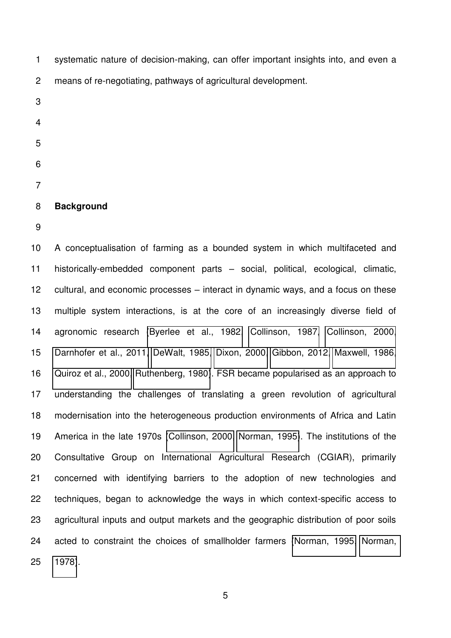1 systematic nature of decision-making, can offer important insights into, and even a 2 means of re-negotiating, pathways of agricultural development.

- 
- 
- 
- 
- 
- 
- 

# **Background**

 A conceptualisation of farming as a bounded system in which multifaceted and historically-embedded component parts – social, political, ecological, climatic, cultural, and economic processes – interact in dynamic ways, and a focus on these multiple system interactions, is at the core of an increasingly diverse field of agronomic research [\(Byerlee et al., 1982,](#page-36-7) [Collinson, 1987,](#page-36-0) [Collinson, 2000,](#page-36-3) [Darnhofer et al., 2011,](#page-36-8) [DeWalt, 1985,](#page-36-9) [Dixon, 2000,](#page-36-1) [Gibbon, 2012,](#page-37-4) [Maxwell, 1986,](#page-37-5) [Quiroz et al., 2000,](#page-38-3) [Ruthenberg, 1980\)](#page-38-4). FSR became popularised as an approach to understanding the challenges of translating a green revolution of agricultural modernisation into the heterogeneous production environments of Africa and Latin America in the late 1970s [\(Collinson, 2000,](#page-36-3) [Norman, 1995\)](#page-38-5). The institutions of the Consultative Group on International Agricultural Research (CGIAR), primarily concerned with identifying barriers to the adoption of new technologies and techniques, began to acknowledge the ways in which context-specific access to agricultural inputs and output markets and the geographic distribution of poor soils acted to constraint the choices of smallholder farmers [\(Norman, 1995,](#page-38-5) [Norman,](#page-38-6)  [1978\)](#page-38-6).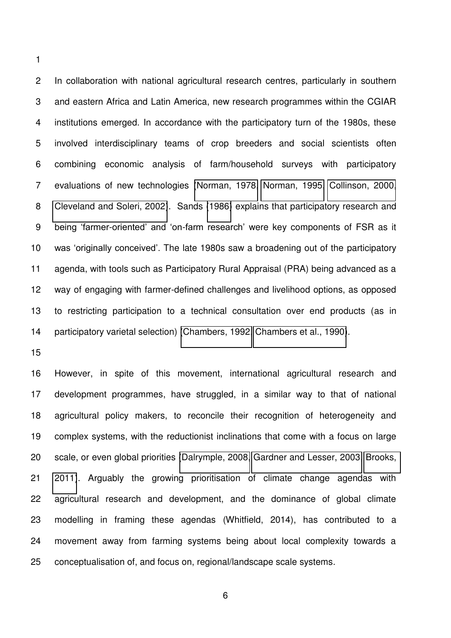2 In collaboration with national agricultural research centres, particularly in southern 3 and eastern Africa and Latin America, new research programmes within the CGIAR 4 institutions emerged. In accordance with the participatory turn of the 1980s, these 5 involved interdisciplinary teams of crop breeders and social scientists often 6 combining economic analysis of farm/household surveys with participatory 7 evaluations of new technologies [\(Norman, 1978,](#page-38-6) [Norman, 1995,](#page-38-5) [Collinson, 2000,](#page-36-3) [Cleveland and Soleri, 2002\)](#page-36-10). Sands [\(1986\)](#page-38-0) explains that participatory research and being 'farmer-oriented' and 'on-farm research' were key components of FSR as it was 'originally conceived'. The late 1980s saw a broadening out of the participatory agenda, with tools such as Participatory Rural Appraisal (PRA) being advanced as a way of engaging with farmer-defined challenges and livelihood options, as opposed to restricting participation to a technical consultation over end products (as in 14 participatory varietal selection) [\(Chambers, 1992,](#page-36-11) [Chambers et al., 1990\)](#page-36-5).

 However, in spite of this movement, international agricultural research and development programmes, have struggled, in a similar way to that of national agricultural policy makers, to reconcile their recognition of heterogeneity and complex systems, with the reductionist inclinations that come with a focus on large scale, or even global priorities [\(Dalrymple, 2008,](#page-36-12) [Gardner and Lesser, 2003,](#page-37-6) [Brooks,](#page-36-13)  [2011\)](#page-36-13). Arguably the growing prioritisation of climate change agendas with agricultural research and development, and the dominance of global climate modelling in framing these agendas (Whitfield, 2014), has contributed to a movement away from farming systems being about local complexity towards a conceptualisation of, and focus on, regional/landscape scale systems.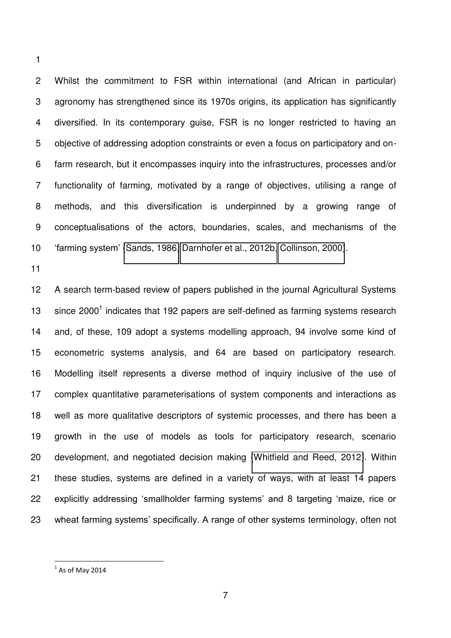2 Whilst the commitment to FSR within international (and African in particular) 3 agronomy has strengthened since its 1970s origins, its application has significantly 4 diversified. In its contemporary guise, FSR is no longer restricted to having an 5 objective of addressing adoption constraints or even a focus on participatory and on-6 farm research, but it encompasses inquiry into the infrastructures, processes and/or 7 functionality of farming, motivated by a range of objectives, utilising a range of 8 methods, and this diversification is underpinned by a growing range of 9 conceptualisations of the actors, boundaries, scales, and mechanisms of the 'farming system' [\(Sands, 1986,](#page-38-0) [Darnhofer et al., 2012b,](#page-36-14) [Collinson, 2000\)](#page-36-3).

 A search term-based review of papers published in the journal Agricultural Systems  $\cdot$  since 2000<sup>1</sup> indicates that 192 papers are self-defined as farming systems research and, of these, 109 adopt a systems modelling approach, 94 involve some kind of econometric systems analysis, and 64 are based on participatory research. Modelling itself represents a diverse method of inquiry inclusive of the use of complex quantitative parameterisations of system components and interactions as well as more qualitative descriptors of systemic processes, and there has been a growth in the use of models as tools for participatory research, scenario development, and negotiated decision making [\(Whitfield and Reed, 2012\)](#page-38-7). Within these studies, systems are defined in a variety of ways, with at least 14 papers explicitly addressing 'smallholder farming systems' and 8 targeting 'maize, rice or wheat farming systems' specifically. A range of other systems terminology, often not

 $<sup>1</sup>$  As of May 2014</sup>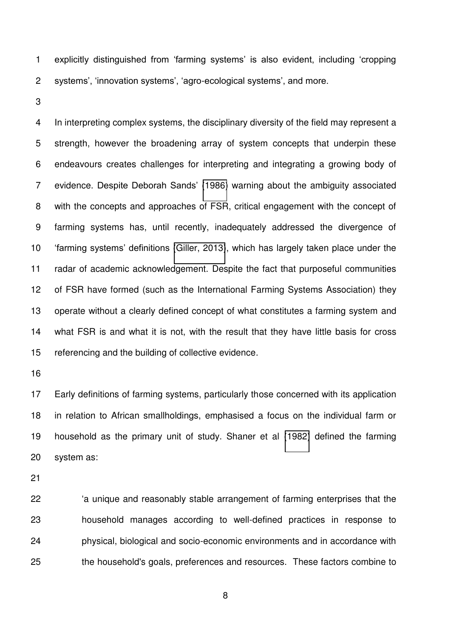explicitly distinguished from 'farming systems' is also evident, including 'cropping systems', 'innovation systems', 'agro-ecological systems', and more.

4 In interpreting complex systems, the disciplinary diversity of the field may represent a 5 strength, however the broadening array of system concepts that underpin these 6 endeavours creates challenges for interpreting and integrating a growing body of 7 evidence. Despite Deborah Sands' [\(1986\)](#page-38-0) warning about the ambiguity associated 8 with the concepts and approaches of FSR, critical engagement with the concept of 9 farming systems has, until recently, inadequately addressed the divergence of 'farming systems' definitions [\(Giller, 2013\)](#page-37-3), which has largely taken place under the radar of academic acknowledgement. Despite the fact that purposeful communities of FSR have formed (such as the International Farming Systems Association) they operate without a clearly defined concept of what constitutes a farming system and what FSR is and what it is not, with the result that they have little basis for cross referencing and the building of collective evidence.

 Early definitions of farming systems, particularly those concerned with its application in relation to African smallholdings, emphasised a focus on the individual farm or household as the primary unit of study. Shaner et al [\(1982\)](#page-38-8) defined the farming system as:

 'a unique and reasonably stable arrangement of farming enterprises that the household manages according to well-defined practices in response to physical, biological and socio-economic environments and in accordance with the household's goals, preferences and resources. These factors combine to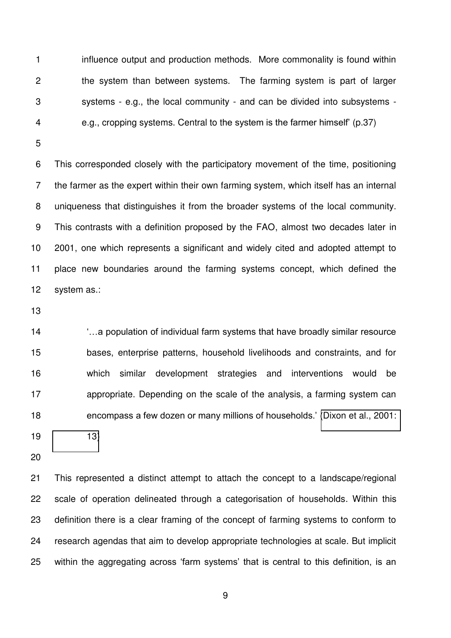1 influence output and production methods. More commonality is found within 2 the system than between systems. The farming system is part of larger 3 systems - e.g., the local community - and can be divided into subsystems - 4 e.g., cropping systems. Central to the system is the farmer himself' (p.37)

6 This corresponded closely with the participatory movement of the time, positioning 7 the farmer as the expert within their own farming system, which itself has an internal 8 uniqueness that distinguishes it from the broader systems of the local community. 9 This contrasts with a definition proposed by the FAO, almost two decades later in 2001, one which represents a significant and widely cited and adopted attempt to place new boundaries around the farming systems concept, which defined the system as.:

 '…a population of individual farm systems that have broadly similar resource bases, enterprise patterns, household livelihoods and constraints, and for which similar development strategies and interventions would be appropriate. Depending on the scale of the analysis, a farming system can encompass a few dozen or many millions of households.' [\(Dixon et al., 2001:](#page-36-6) 

[13\)](#page-36-6)

 This represented a distinct attempt to attach the concept to a landscape/regional scale of operation delineated through a categorisation of households. Within this definition there is a clear framing of the concept of farming systems to conform to research agendas that aim to develop appropriate technologies at scale. But implicit within the aggregating across 'farm systems' that is central to this definition, is an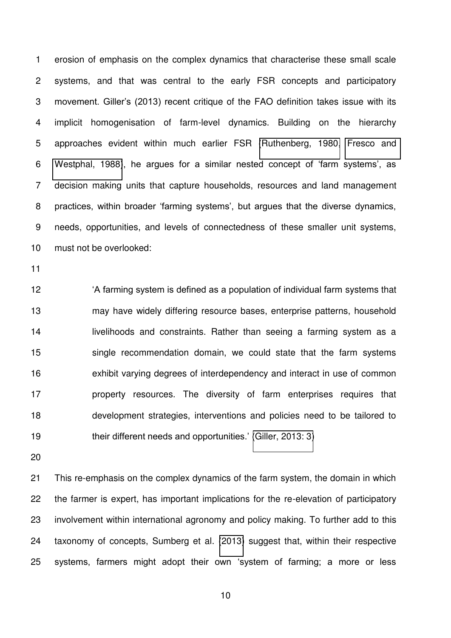1 erosion of emphasis on the complex dynamics that characterise these small scale 2 systems, and that was central to the early FSR concepts and participatory movement. Giller's (2013) recent critique of the FAO definition takes issue with its 4 implicit homogenisation of farm-level dynamics. Building on the hierarchy 5 approaches evident within much earlier FSR [\(Ruthenberg, 1980,](#page-38-4) [Fresco and](#page-37-7)  [Westphal, 1988\)](#page-37-7), he argues for a similar nested concept of 'farm systems', as 7 decision making units that capture households, resources and land management practices, within broader 'farming systems', but argues that the diverse dynamics, 9 needs, opportunities, and levels of connectedness of these smaller unit systems, must not be overlooked:

 'A farming system is defined as a population of individual farm systems that may have widely differing resource bases, enterprise patterns, household **Inter-** livelihoods and constraints. Rather than seeing a farming system as a single recommendation domain, we could state that the farm systems exhibit varying degrees of interdependency and interact in use of common **property resources.** The diversity of farm enterprises requires that development strategies, interventions and policies need to be tailored to 19 their different needs and opportunities.' [\(Giller, 2013: 3\)](#page-37-3)

 This re-emphasis on the complex dynamics of the farm system, the domain in which the farmer is expert, has important implications for the re-elevation of participatory involvement within international agronomy and policy making. To further add to this taxonomy of concepts, Sumberg et al. [\(2013\)](#page-38-2) suggest that, within their respective systems, farmers might adopt their own 'system of farming; a more or less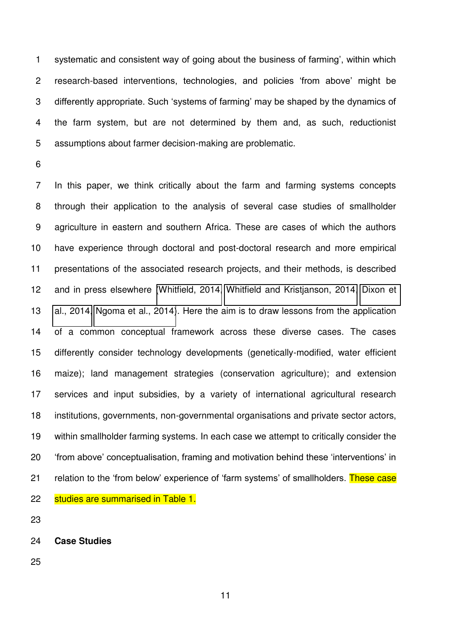systematic and consistent way of going about the business of farming', within which 2 research-based interventions, technologies, and policies 'from above' might be differently appropriate. Such 'systems of farming' may be shaped by the dynamics of 4 the farm system, but are not determined by them and, as such, reductionist 5 assumptions about farmer decision-making are problematic.

7 In this paper, we think critically about the farm and farming systems concepts 8 through their application to the analysis of several case studies of smallholder 9 agriculture in eastern and southern Africa. These are cases of which the authors have experience through doctoral and post-doctoral research and more empirical presentations of the associated research projects, and their methods, is described and in press elsewhere [\(Whitfield, 2014,](#page-38-9) [Whitfield and Kristjanson, 2014,](#page-38-10) [Dixon et](#page-36-15)  [al., 2014,](#page-36-15) [Ngoma et al., 2014\)](#page-37-8). Here the aim is to draw lessons from the application of a common conceptual framework across these diverse cases. The cases differently consider technology developments (genetically-modified, water efficient maize); land management strategies (conservation agriculture); and extension services and input subsidies, by a variety of international agricultural research institutions, governments, non-governmental organisations and private sector actors, within smallholder farming systems. In each case we attempt to critically consider the 'from above' conceptualisation, framing and motivation behind these 'interventions' in 21 relation to the 'from below' experience of 'farm systems' of smallholders. These case 22 studies are summarised in Table 1.

**Case Studies**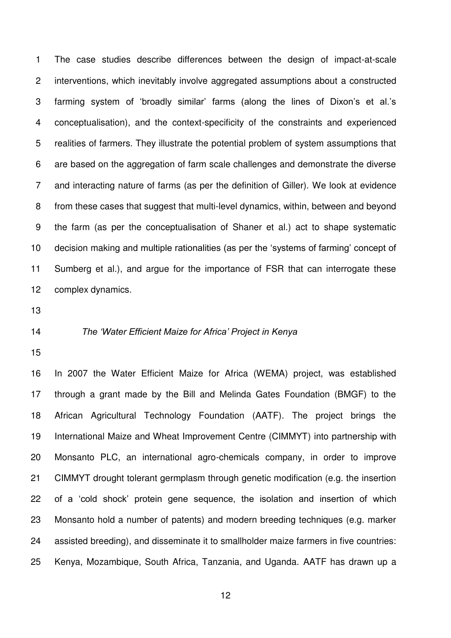1 The case studies describe differences between the design of impact-at-scale 2 interventions, which inevitably involve aggregated assumptions about a constructed 3 farming system of 'broadly similar' farms (along the lines of Dixon's et al.'s 4 conceptualisation), and the context-specificity of the constraints and experienced 5 realities of farmers. They illustrate the potential problem of system assumptions that 6 are based on the aggregation of farm scale challenges and demonstrate the diverse 7 and interacting nature of farms (as per the definition of Giller). We look at evidence 8 from these cases that suggest that multi-level dynamics, within, between and beyond 9 the farm (as per the conceptualisation of Shaner et al.) act to shape systematic decision making and multiple rationalities (as per the 'systems of farming' concept of Sumberg et al.), and argue for the importance of FSR that can interrogate these complex dynamics.

### *The 'Water Efficient Maize for Africa' Project in Kenya*

 In 2007 the Water Efficient Maize for Africa (WEMA) project, was established through a grant made by the Bill and Melinda Gates Foundation (BMGF) to the African Agricultural Technology Foundation (AATF). The project brings the International Maize and Wheat Improvement Centre (CIMMYT) into partnership with Monsanto PLC, an international agro-chemicals company, in order to improve CIMMYT drought tolerant germplasm through genetic modification (e.g. the insertion of a 'cold shock' protein gene sequence, the isolation and insertion of which Monsanto hold a number of patents) and modern breeding techniques (e.g. marker assisted breeding), and disseminate it to smallholder maize farmers in five countries: Kenya, Mozambique, South Africa, Tanzania, and Uganda. AATF has drawn up a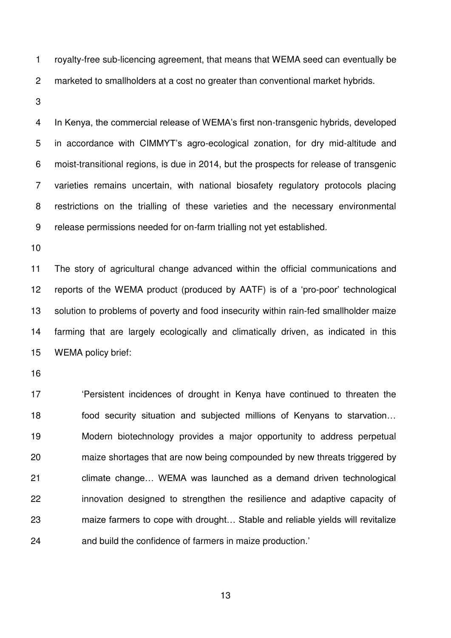1 royalty-free sub-licencing agreement, that means that WEMA seed can eventually be 2 marketed to smallholders at a cost no greater than conventional market hybrids.

In Kenya, the commercial release of WEMA's first non-transgenic hybrids, developed 5 in accordance with CIMMYT's agro-ecological zonation, for dry mid-altitude and 6 moist-transitional regions, is due in 2014, but the prospects for release of transgenic 7 varieties remains uncertain, with national biosafety regulatory protocols placing 8 restrictions on the trialling of these varieties and the necessary environmental 9 release permissions needed for on-farm trialling not yet established.

 The story of agricultural change advanced within the official communications and reports of the WEMA product (produced by AATF) is of a 'pro-poor' technological solution to problems of poverty and food insecurity within rain-fed smallholder maize farming that are largely ecologically and climatically driven, as indicated in this WEMA policy brief:

 'Persistent incidences of drought in Kenya have continued to threaten the 18 food security situation and subjected millions of Kenyans to starvation... Modern biotechnology provides a major opportunity to address perpetual maize shortages that are now being compounded by new threats triggered by climate change… WEMA was launched as a demand driven technological innovation designed to strengthen the resilience and adaptive capacity of maize farmers to cope with drought… Stable and reliable yields will revitalize and build the confidence of farmers in maize production.'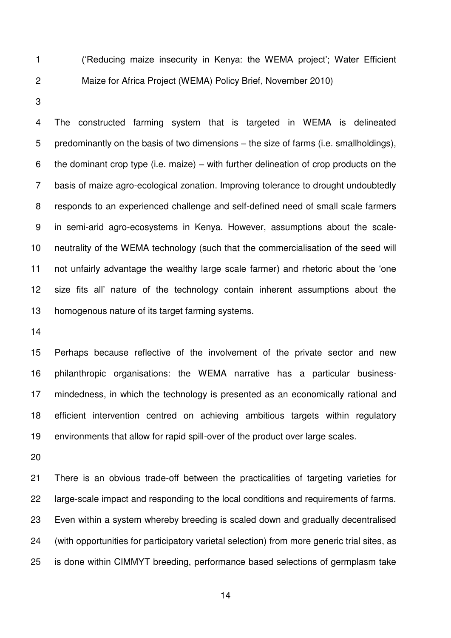('Reducing maize insecurity in Kenya: the WEMA project'; Water Efficient 2 Maize for Africa Project (WEMA) Policy Brief, November 2010)

4 The constructed farming system that is targeted in WEMA is delineated 5 predominantly on the basis of two dimensions – the size of farms (i.e. smallholdings), 6 the dominant crop type (i.e. maize) – with further delineation of crop products on the 7 basis of maize agro-ecological zonation. Improving tolerance to drought undoubtedly 8 responds to an experienced challenge and self-defined need of small scale farmers 9 in semi-arid agro-ecosystems in Kenya. However, assumptions about the scale- neutrality of the WEMA technology (such that the commercialisation of the seed will not unfairly advantage the wealthy large scale farmer) and rhetoric about the 'one size fits all' nature of the technology contain inherent assumptions about the homogenous nature of its target farming systems.

 Perhaps because reflective of the involvement of the private sector and new philanthropic organisations: the WEMA narrative has a particular business- mindedness, in which the technology is presented as an economically rational and efficient intervention centred on achieving ambitious targets within regulatory environments that allow for rapid spill-over of the product over large scales.

 There is an obvious trade-off between the practicalities of targeting varieties for large-scale impact and responding to the local conditions and requirements of farms. Even within a system whereby breeding is scaled down and gradually decentralised (with opportunities for participatory varietal selection) from more generic trial sites, as is done within CIMMYT breeding, performance based selections of germplasm take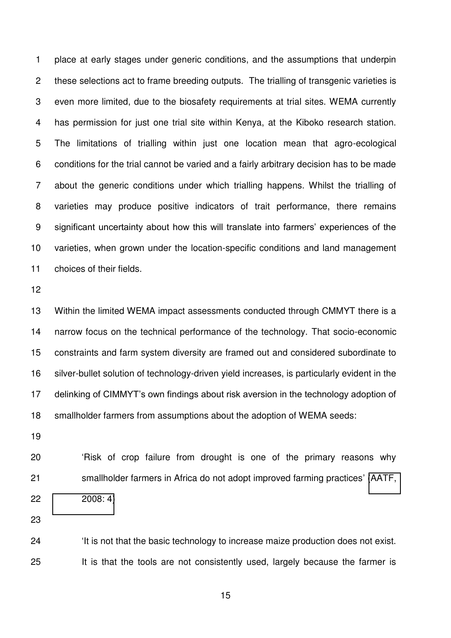1 place at early stages under generic conditions, and the assumptions that underpin 2 these selections act to frame breeding outputs. The trialling of transgenic varieties is 3 even more limited, due to the biosafety requirements at trial sites. WEMA currently 4 has permission for just one trial site within Kenya, at the Kiboko research station. 5 The limitations of trialling within just one location mean that agro-ecological 6 conditions for the trial cannot be varied and a fairly arbitrary decision has to be made 7 about the generic conditions under which trialling happens. Whilst the trialling of 8 varieties may produce positive indicators of trait performance, there remains significant uncertainty about how this will translate into farmers' experiences of the varieties, when grown under the location-specific conditions and land management choices of their fields.

 Within the limited WEMA impact assessments conducted through CMMYT there is a narrow focus on the technical performance of the technology. That socio-economic constraints and farm system diversity are framed out and considered subordinate to silver-bullet solution of technology-driven yield increases, is particularly evident in the delinking of CIMMYT's own findings about risk aversion in the technology adoption of smallholder farmers from assumptions about the adoption of WEMA seeds:

 'Risk of crop failure from drought is one of the primary reasons why smallholder farmers in Africa do not adopt improved farming practices' [\(AATF,](#page-35-0)  [2008: 4\)](#page-35-0)

 'It is not that the basic technology to increase maize production does not exist. It is that the tools are not consistently used, largely because the farmer is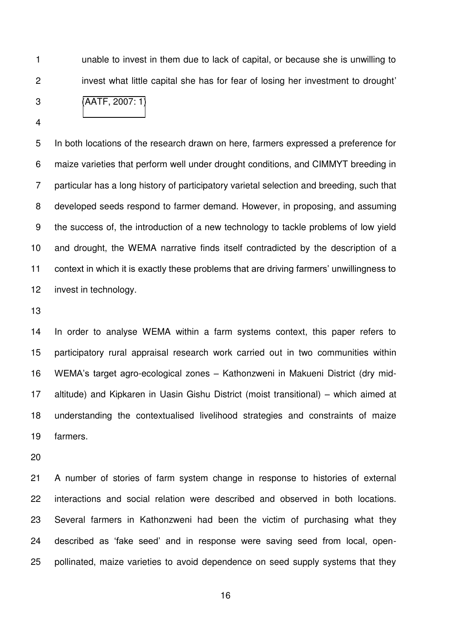1 unable to invest in them due to lack of capital, or because she is unwilling to 2 invest what little capital she has for fear of losing her investment to drought' [\(AATF, 2007: 1\)](#page-35-1)

5 In both locations of the research drawn on here, farmers expressed a preference for 6 maize varieties that perform well under drought conditions, and CIMMYT breeding in 7 particular has a long history of participatory varietal selection and breeding, such that 8 developed seeds respond to farmer demand. However, in proposing, and assuming 9 the success of, the introduction of a new technology to tackle problems of low yield and drought, the WEMA narrative finds itself contradicted by the description of a context in which it is exactly these problems that are driving farmers' unwillingness to invest in technology.

 In order to analyse WEMA within a farm systems context, this paper refers to participatory rural appraisal research work carried out in two communities within WEMA's target agro-ecological zones – Kathonzweni in Makueni District (dry mid- altitude) and Kipkaren in Uasin Gishu District (moist transitional) – which aimed at understanding the contextualised livelihood strategies and constraints of maize farmers.

 A number of stories of farm system change in response to histories of external interactions and social relation were described and observed in both locations. Several farmers in Kathonzweni had been the victim of purchasing what they described as 'fake seed' and in response were saving seed from local, open-pollinated, maize varieties to avoid dependence on seed supply systems that they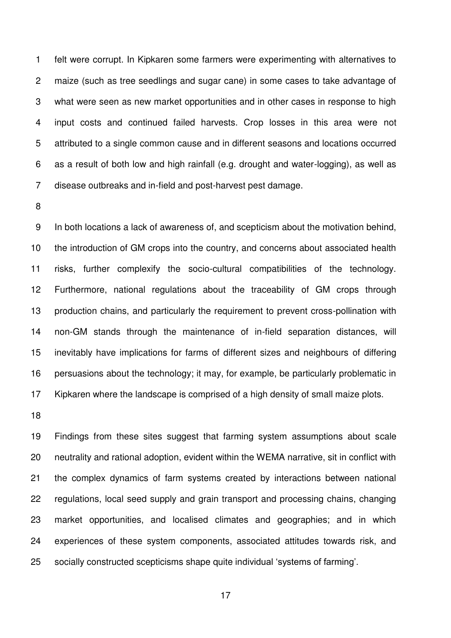1 felt were corrupt. In Kipkaren some farmers were experimenting with alternatives to 2 maize (such as tree seedlings and sugar cane) in some cases to take advantage of 3 what were seen as new market opportunities and in other cases in response to high 4 input costs and continued failed harvests. Crop losses in this area were not 5 attributed to a single common cause and in different seasons and locations occurred 6 as a result of both low and high rainfall (e.g. drought and water-logging), as well as 7 disease outbreaks and in-field and post-harvest pest damage.

9 In both locations a lack of awareness of, and scepticism about the motivation behind, the introduction of GM crops into the country, and concerns about associated health risks, further complexify the socio-cultural compatibilities of the technology. Furthermore, national regulations about the traceability of GM crops through production chains, and particularly the requirement to prevent cross-pollination with non-GM stands through the maintenance of in-field separation distances, will inevitably have implications for farms of different sizes and neighbours of differing persuasions about the technology; it may, for example, be particularly problematic in Kipkaren where the landscape is comprised of a high density of small maize plots.

 Findings from these sites suggest that farming system assumptions about scale neutrality and rational adoption, evident within the WEMA narrative, sit in conflict with the complex dynamics of farm systems created by interactions between national regulations, local seed supply and grain transport and processing chains, changing market opportunities, and localised climates and geographies; and in which experiences of these system components, associated attitudes towards risk, and socially constructed scepticisms shape quite individual 'systems of farming'.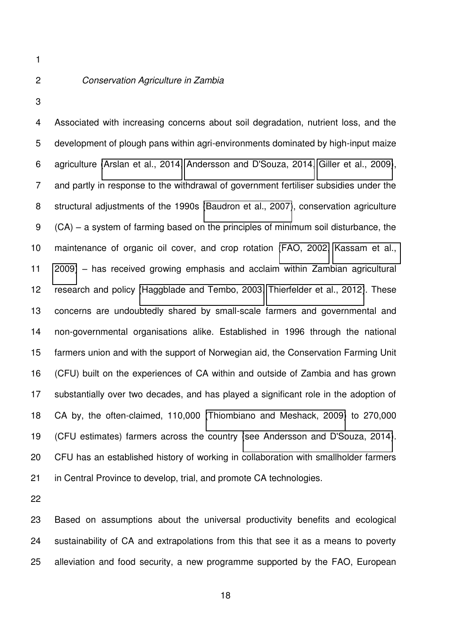## *Conservation Agriculture in Zambia*

4 Associated with increasing concerns about soil degradation, nutrient loss, and the 5 development of plough pans within agri-environments dominated by high-input maize 6 agriculture [\(Arslan et al., 2014,](#page-35-2) [Andersson and D'Souza, 2014,](#page-35-3) [Giller et al., 2009\)](#page-37-9), 7 and partly in response to the withdrawal of government fertiliser subsidies under the 8 structural adjustments of the 1990s [\(Baudron et al., 2007\)](#page-36-16), conservation agriculture 9 (CA) – a system of farming based on the principles of minimum soil disturbance, the maintenance of organic oil cover, and crop rotation [\(FAO, 2002,](#page-37-10) [Kassam et al.,](#page-37-11)  [2009\)](#page-37-11) – has received growing emphasis and acclaim within Zambian agricultural research and policy [\(Haggblade and Tembo, 2003,](#page-37-12) [Thierfelder et al., 2012\)](#page-38-11). These concerns are undoubtedly shared by small-scale farmers and governmental and non-governmental organisations alike. Established in 1996 through the national farmers union and with the support of Norwegian aid, the Conservation Farming Unit (CFU) built on the experiences of CA within and outside of Zambia and has grown substantially over two decades, and has played a significant role in the adoption of CA by, the often-claimed, 110,000 [\(Thiombiano and Meshack, 2009\)](#page-38-12) to 270,000 (CFU estimates) farmers across the country [\(see Andersson and D'Souza, 2014\)](#page-35-3). CFU has an established history of working in collaboration with smallholder farmers in Central Province to develop, trial, and promote CA technologies.

 Based on assumptions about the universal productivity benefits and ecological sustainability of CA and extrapolations from this that see it as a means to poverty alleviation and food security, a new programme supported by the FAO, European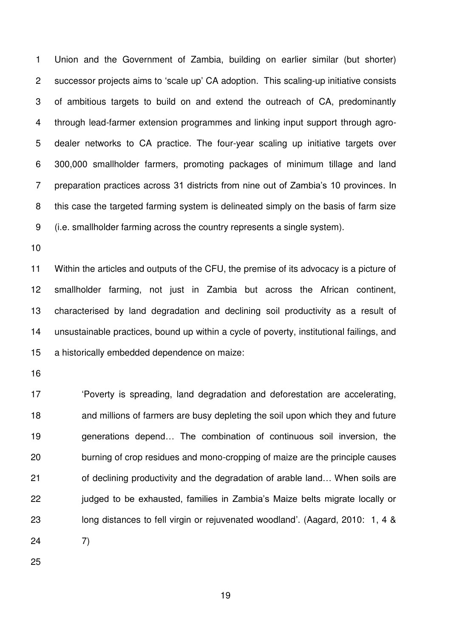1 Union and the Government of Zambia, building on earlier similar (but shorter) 2 successor projects aims to 'scale up' CA adoption. This scaling-up initiative consists 3 of ambitious targets to build on and extend the outreach of CA, predominantly 4 through lead-farmer extension programmes and linking input support through agro-5 dealer networks to CA practice. The four-year scaling up initiative targets over 6 300,000 smallholder farmers, promoting packages of minimum tillage and land 7 preparation practices across 31 districts from nine out of Zambia's 10 provinces. In 8 this case the targeted farming system is delineated simply on the basis of farm size 9 (i.e. smallholder farming across the country represents a single system).

 Within the articles and outputs of the CFU, the premise of its advocacy is a picture of smallholder farming, not just in Zambia but across the African continent, characterised by land degradation and declining soil productivity as a result of unsustainable practices, bound up within a cycle of poverty, institutional failings, and a historically embedded dependence on maize:

 'Poverty is spreading, land degradation and deforestation are accelerating, and millions of farmers are busy depleting the soil upon which they and future generations depend… The combination of continuous soil inversion, the burning of crop residues and mono-cropping of maize are the principle causes 21 of declining productivity and the degradation of arable land... When soils are judged to be exhausted, families in Zambia's Maize belts migrate locally or long distances to fell virgin or rejuvenated woodland'. (Aagard, 2010: 1, 4 & 7)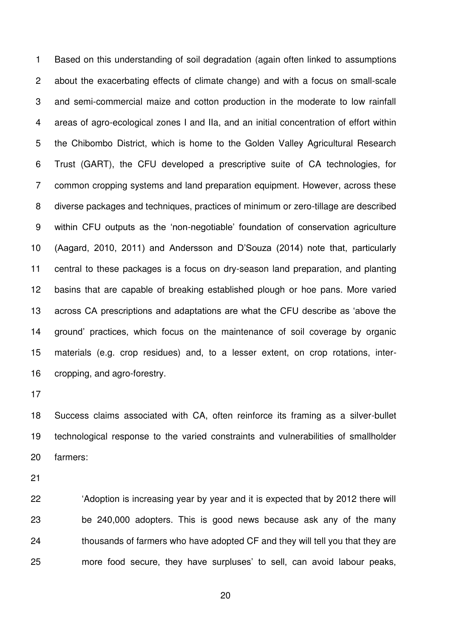1 Based on this understanding of soil degradation (again often linked to assumptions 2 about the exacerbating effects of climate change) and with a focus on small-scale 3 and semi-commercial maize and cotton production in the moderate to low rainfall 4 areas of agro-ecological zones I and IIa, and an initial concentration of effort within 5 the Chibombo District, which is home to the Golden Valley Agricultural Research 6 Trust (GART), the CFU developed a prescriptive suite of CA technologies, for 7 common cropping systems and land preparation equipment. However, across these 8 diverse packages and techniques, practices of minimum or zero-tillage are described within CFU outputs as the 'non-negotiable' foundation of conservation agriculture (Aagard, 2010, 2011) and Andersson and D'Souza (2014) note that, particularly central to these packages is a focus on dry-season land preparation, and planting basins that are capable of breaking established plough or hoe pans. More varied across CA prescriptions and adaptations are what the CFU describe as 'above the ground' practices, which focus on the maintenance of soil coverage by organic materials (e.g. crop residues) and, to a lesser extent, on crop rotations, inter-cropping, and agro-forestry.

 Success claims associated with CA, often reinforce its framing as a silver-bullet technological response to the varied constraints and vulnerabilities of smallholder farmers:

 'Adoption is increasing year by year and it is expected that by 2012 there will be 240,000 adopters. This is good news because ask any of the many thousands of farmers who have adopted CF and they will tell you that they are more food secure, they have surpluses' to sell, can avoid labour peaks,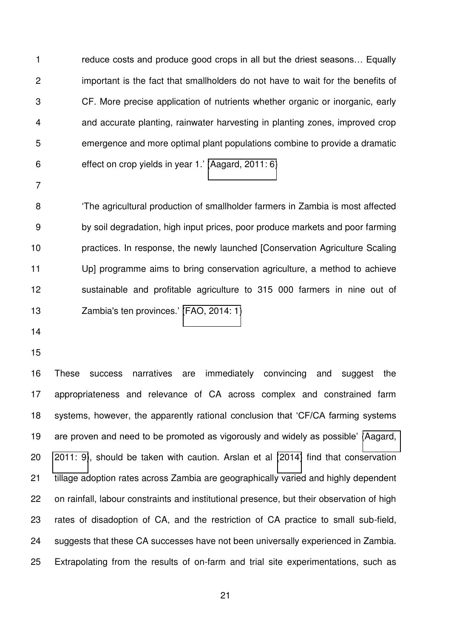reduce costs and produce good crops in all but the driest seasons… Equally 2 important is the fact that smallholders do not have to wait for the benefits of 3 CF. More precise application of nutrients whether organic or inorganic, early 4 and accurate planting, rainwater harvesting in planting zones, improved crop 5 emergence and more optimal plant populations combine to provide a dramatic 6 effect on crop yields in year 1.' [\(Aagard, 2011: 6\)](#page-35-4)

'The agricultural production of smallholder farmers in Zambia is most affected 9 by soil degradation, high input prices, poor produce markets and poor farming practices. In response, the newly launched [Conservation Agriculture Scaling Up] programme aims to bring conservation agriculture, a method to achieve sustainable and profitable agriculture to 315 000 farmers in nine out of Zambia's ten provinces.' [\(FAO, 2014: 1\)](#page-37-13)

- 
- 

 These success narratives are immediately convincing and suggest the appropriateness and relevance of CA across complex and constrained farm systems, however, the apparently rational conclusion that 'CF/CA farming systems are proven and need to be promoted as vigorously and widely as possible' [\(Aagard,](#page-35-4)  [2011: 9\)](#page-35-4), should be taken with caution. Arslan et al [\(2014\)](#page-35-2) find that conservation tillage adoption rates across Zambia are geographically varied and highly dependent on rainfall, labour constraints and institutional presence, but their observation of high rates of disadoption of CA, and the restriction of CA practice to small sub-field, suggests that these CA successes have not been universally experienced in Zambia. Extrapolating from the results of on-farm and trial site experimentations, such as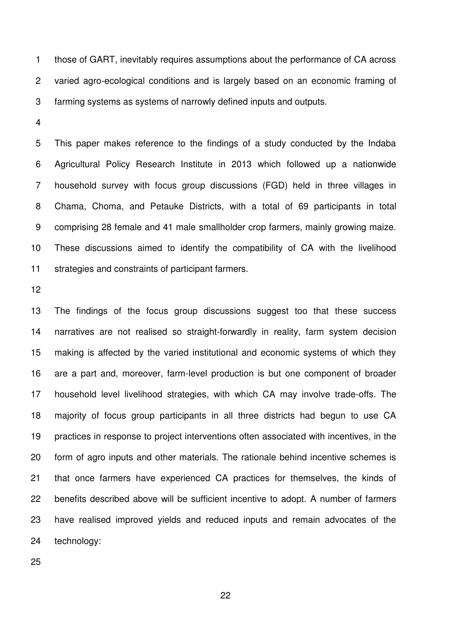1 those of GART, inevitably requires assumptions about the performance of CA across 2 varied agro-ecological conditions and is largely based on an economic framing of 3 farming systems as systems of narrowly defined inputs and outputs.

5 This paper makes reference to the findings of a study conducted by the Indaba 6 Agricultural Policy Research Institute in 2013 which followed up a nationwide 7 household survey with focus group discussions (FGD) held in three villages in 8 Chama, Choma, and Petauke Districts, with a total of 69 participants in total 9 comprising 28 female and 41 male smallholder crop farmers, mainly growing maize. These discussions aimed to identify the compatibility of CA with the livelihood strategies and constraints of participant farmers.

 The findings of the focus group discussions suggest too that these success narratives are not realised so straight-forwardly in reality, farm system decision making is affected by the varied institutional and economic systems of which they are a part and, moreover, farm-level production is but one component of broader household level livelihood strategies, with which CA may involve trade-offs. The majority of focus group participants in all three districts had begun to use CA practices in response to project interventions often associated with incentives, in the form of agro inputs and other materials. The rationale behind incentive schemes is that once farmers have experienced CA practices for themselves, the kinds of benefits described above will be sufficient incentive to adopt. A number of farmers have realised improved yields and reduced inputs and remain advocates of the technology: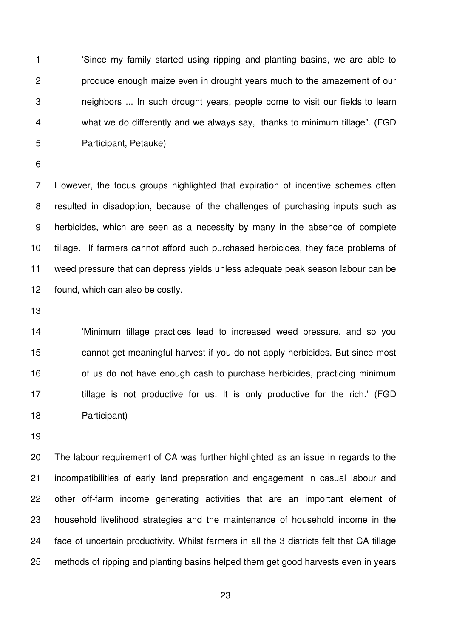'Since my family started using ripping and planting basins, we are able to 2 produce enough maize even in drought years much to the amazement of our 3 neighbors ... In such drought years, people come to visit our fields to learn 4 what we do differently and we always say, thanks to minimum tillage". (FGD 5 Participant, Petauke)

7 However, the focus groups highlighted that expiration of incentive schemes often 8 resulted in disadoption, because of the challenges of purchasing inputs such as 9 herbicides, which are seen as a necessity by many in the absence of complete tillage. If farmers cannot afford such purchased herbicides, they face problems of weed pressure that can depress yields unless adequate peak season labour can be found, which can also be costly.

 'Minimum tillage practices lead to increased weed pressure, and so you cannot get meaningful harvest if you do not apply herbicides. But since most 16 of us do not have enough cash to purchase herbicides, practicing minimum 17 tillage is not productive for us. It is only productive for the rich.' (FGD Participant)

 The labour requirement of CA was further highlighted as an issue in regards to the incompatibilities of early land preparation and engagement in casual labour and other off-farm income generating activities that are an important element of household livelihood strategies and the maintenance of household income in the face of uncertain productivity. Whilst farmers in all the 3 districts felt that CA tillage methods of ripping and planting basins helped them get good harvests even in years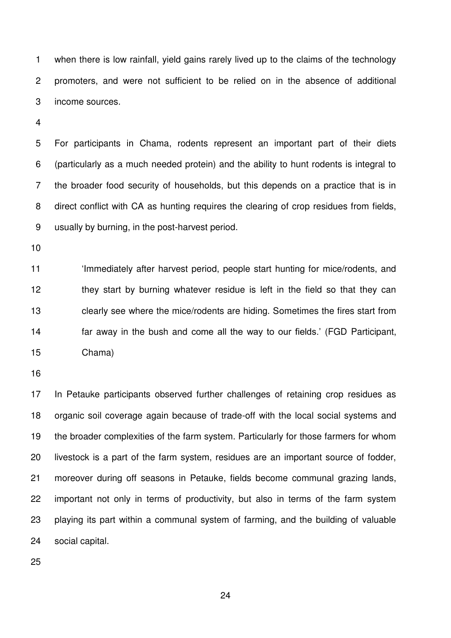1 when there is low rainfall, yield gains rarely lived up to the claims of the technology 2 promoters, and were not sufficient to be relied on in the absence of additional 3 income sources.

5 For participants in Chama, rodents represent an important part of their diets 6 (particularly as a much needed protein) and the ability to hunt rodents is integral to 7 the broader food security of households, but this depends on a practice that is in 8 direct conflict with CA as hunting requires the clearing of crop residues from fields, 9 usually by burning, in the post-harvest period.

 'Immediately after harvest period, people start hunting for mice/rodents, and they start by burning whatever residue is left in the field so that they can clearly see where the mice/rodents are hiding. Sometimes the fires start from far away in the bush and come all the way to our fields.' (FGD Participant, Chama)

 In Petauke participants observed further challenges of retaining crop residues as organic soil coverage again because of trade-off with the local social systems and the broader complexities of the farm system. Particularly for those farmers for whom livestock is a part of the farm system, residues are an important source of fodder, moreover during off seasons in Petauke, fields become communal grazing lands, important not only in terms of productivity, but also in terms of the farm system playing its part within a communal system of farming, and the building of valuable social capital.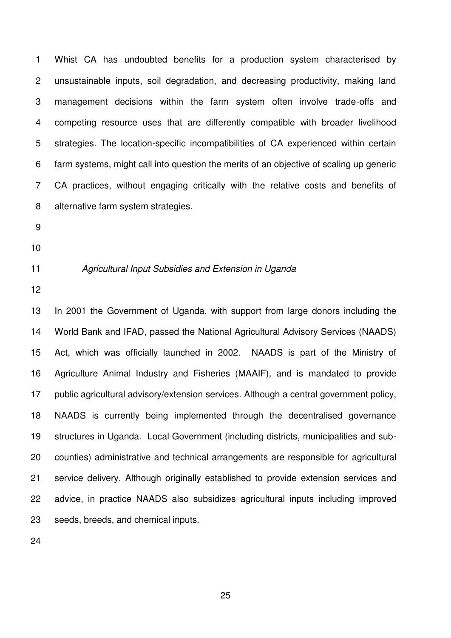1 Whist CA has undoubted benefits for a production system characterised by 2 unsustainable inputs, soil degradation, and decreasing productivity, making land 3 management decisions within the farm system often involve trade-offs and 4 competing resource uses that are differently compatible with broader livelihood 5 strategies. The location-specific incompatibilities of CA experienced within certain 6 farm systems, might call into question the merits of an objective of scaling up generic 7 CA practices, without engaging critically with the relative costs and benefits of 8 alternative farm system strategies.

- 
- 
- 

## *Agricultural Input Subsidies and Extension in Uganda*

 In 2001 the Government of Uganda, with support from large donors including the World Bank and IFAD, passed the National Agricultural Advisory Services (NAADS) Act, which was officially launched in 2002. NAADS is part of the Ministry of Agriculture Animal Industry and Fisheries (MAAIF), and is mandated to provide public agricultural advisory/extension services. Although a central government policy, NAADS is currently being implemented through the decentralised governance structures in Uganda. Local Government (including districts, municipalities and sub- counties) administrative and technical arrangements are responsible for agricultural service delivery. Although originally established to provide extension services and advice, in practice NAADS also subsidizes agricultural inputs including improved seeds, breeds, and chemical inputs.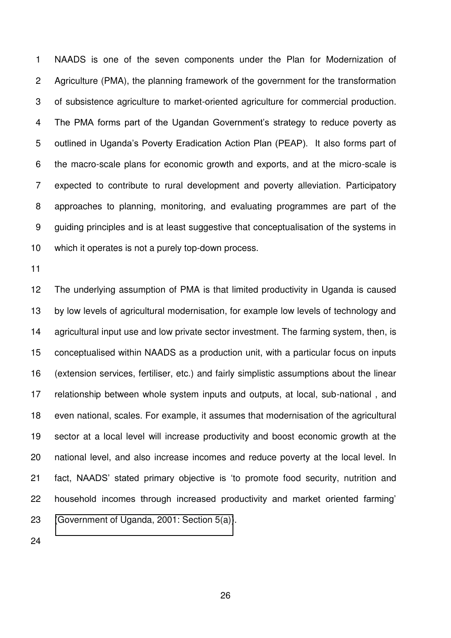1 NAADS is one of the seven components under the Plan for Modernization of 2 Agriculture (PMA), the planning framework of the government for the transformation 3 of subsistence agriculture to market-oriented agriculture for commercial production. The PMA forms part of the Ugandan Government's strategy to reduce poverty as outlined in Uganda's Poverty Eradication Action Plan (PEAP). It also forms part of 6 the macro-scale plans for economic growth and exports, and at the micro-scale is 7 expected to contribute to rural development and poverty alleviation. Participatory 8 approaches to planning, monitoring, and evaluating programmes are part of the 9 guiding principles and is at least suggestive that conceptualisation of the systems in which it operates is not a purely top-down process.

 The underlying assumption of PMA is that limited productivity in Uganda is caused by low levels of agricultural modernisation, for example low levels of technology and agricultural input use and low private sector investment. The farming system, then, is conceptualised within NAADS as a production unit, with a particular focus on inputs (extension services, fertiliser, etc.) and fairly simplistic assumptions about the linear relationship between whole system inputs and outputs, at local, sub-national , and even national, scales. For example, it assumes that modernisation of the agricultural sector at a local level will increase productivity and boost economic growth at the national level, and also increase incomes and reduce poverty at the local level. In fact, NAADS' stated primary objective is 'to promote food security, nutrition and household incomes through increased productivity and market oriented farming' [\(Government of Uganda, 2001: Section 5\(a\)\)](#page-37-14).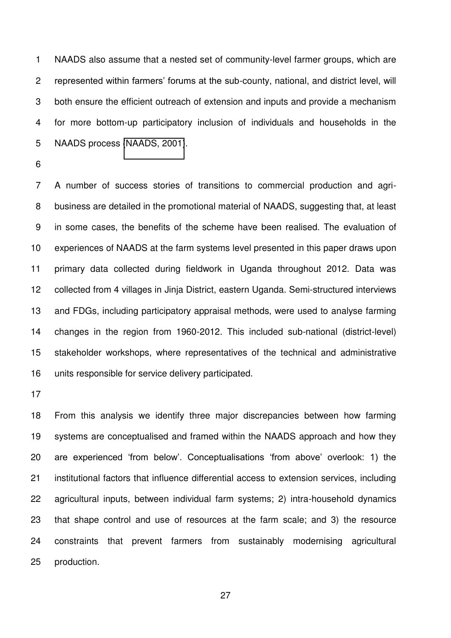1 NAADS also assume that a nested set of community-level farmer groups, which are represented within farmers' forums at the sub-county, national, and district level, will 3 both ensure the efficient outreach of extension and inputs and provide a mechanism 4 for more bottom-up participatory inclusion of individuals and households in the 5 NAADS process [\(NAADS, 2001\)](#page-37-15).

7 A number of success stories of transitions to commercial production and agri-8 business are detailed in the promotional material of NAADS, suggesting that, at least 9 in some cases, the benefits of the scheme have been realised. The evaluation of experiences of NAADS at the farm systems level presented in this paper draws upon primary data collected during fieldwork in Uganda throughout 2012. Data was collected from 4 villages in Jinja District, eastern Uganda. Semi-structured interviews and FDGs, including participatory appraisal methods, were used to analyse farming changes in the region from 1960-2012. This included sub-national (district-level) stakeholder workshops, where representatives of the technical and administrative units responsible for service delivery participated.

 From this analysis we identify three major discrepancies between how farming systems are conceptualised and framed within the NAADS approach and how they are experienced 'from below'. Conceptualisations 'from above' overlook: 1) the institutional factors that influence differential access to extension services, including agricultural inputs, between individual farm systems; 2) intra-household dynamics that shape control and use of resources at the farm scale; and 3) the resource constraints that prevent farmers from sustainably modernising agricultural production.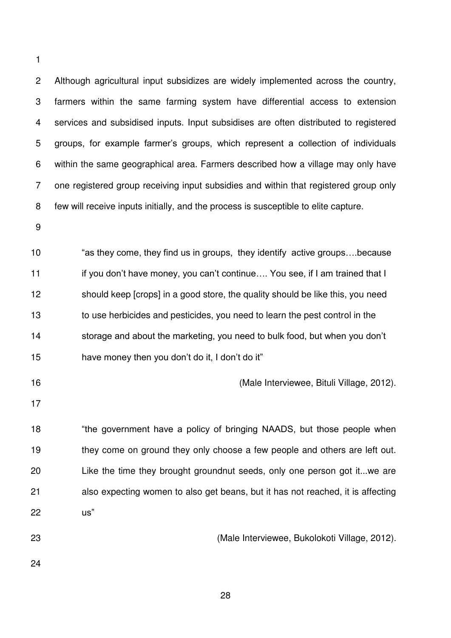2 Although agricultural input subsidizes are widely implemented across the country, 3 farmers within the same farming system have differential access to extension 4 services and subsidised inputs. Input subsidises are often distributed to registered groups, for example farmer's groups, which represent a collection of individuals 6 within the same geographical area. Farmers described how a village may only have 7 one registered group receiving input subsidies and within that registered group only 8 few will receive inputs initially, and the process is susceptible to elite capture.

 "as they come, they find us in groups, they identify active groups….because 11 if you don't have money, you can't continue.... You see, if I am trained that I should keep [crops] in a good store, the quality should be like this, you need to use herbicides and pesticides, you need to learn the pest control in the storage and about the marketing, you need to bulk food, but when you don't have money then you don't do it, I don't do it"

(Male Interviewee, Bituli Village, 2012).

18 "the government have a policy of bringing NAADS, but those people when 19 they come on ground they only choose a few people and others are left out. Like the time they brought groundnut seeds, only one person got it...we are also expecting women to also get beans, but it has not reached, it is affecting us"

(Male Interviewee, Bukolokoti Village, 2012).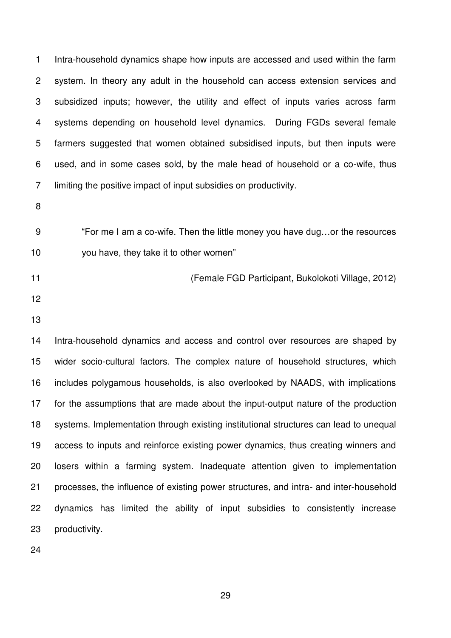1 Intra-household dynamics shape how inputs are accessed and used within the farm 2 system. In theory any adult in the household can access extension services and 3 subsidized inputs; however, the utility and effect of inputs varies across farm 4 systems depending on household level dynamics. During FGDs several female 5 farmers suggested that women obtained subsidised inputs, but then inputs were 6 used, and in some cases sold, by the male head of household or a co-wife, thus 7 limiting the positive impact of input subsidies on productivity.

- 
- "For me I am a co-wife. Then the little money you have dug…or the resources you have, they take it to other women"
- (Female FGD Participant, Bukolokoti Village, 2012)
- 
- 

 Intra-household dynamics and access and control over resources are shaped by wider socio-cultural factors. The complex nature of household structures, which includes polygamous households, is also overlooked by NAADS, with implications for the assumptions that are made about the input-output nature of the production systems. Implementation through existing institutional structures can lead to unequal access to inputs and reinforce existing power dynamics, thus creating winners and losers within a farming system. Inadequate attention given to implementation processes, the influence of existing power structures, and intra- and inter-household dynamics has limited the ability of input subsidies to consistently increase productivity.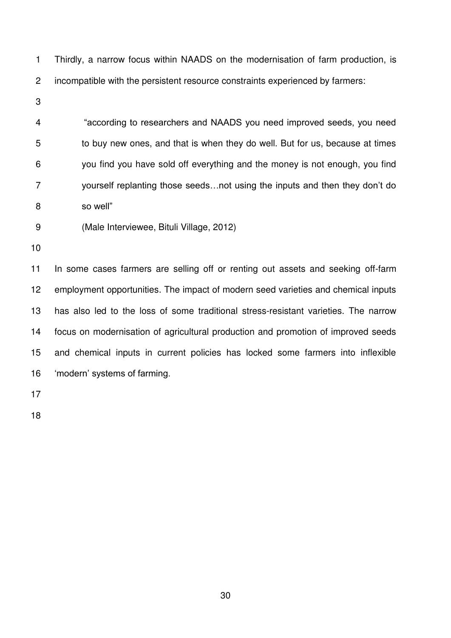1 Thirdly, a narrow focus within NAADS on the modernisation of farm production, is 2 incompatible with the persistent resource constraints experienced by farmers:

"according to researchers and NAADS you need improved seeds, you need 5 to buy new ones, and that is when they do well. But for us, because at times 6 you find you have sold off everything and the money is not enough, you find yourself replanting those seeds…not using the inputs and then they don't do so well"

9 (Male Interviewee, Bituli Village, 2012)

 In some cases farmers are selling off or renting out assets and seeking off-farm employment opportunities. The impact of modern seed varieties and chemical inputs has also led to the loss of some traditional stress-resistant varieties. The narrow focus on modernisation of agricultural production and promotion of improved seeds and chemical inputs in current policies has locked some farmers into inflexible 'modern' systems of farming.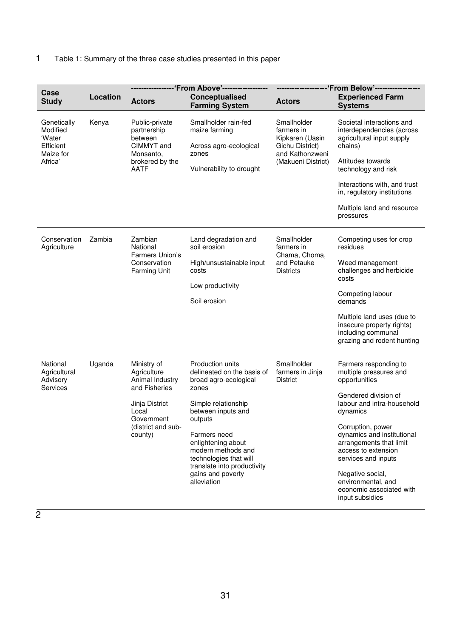# 1 Table 1: Summary of the three case studies presented in this paper

| Case<br><b>Study</b>                                                   | Location | <b>Actors</b>                                                                                                                            | ------ 'From Above'-----------<br>Conceptualised<br><b>Farming System</b>                                                                                                                                                                                                                         | <b>Actors</b>                                                                                            | -'From Below'------------<br><b>Experienced Farm</b><br><b>Systems</b>                                                                                                                                                                                                                                                                                  |  |
|------------------------------------------------------------------------|----------|------------------------------------------------------------------------------------------------------------------------------------------|---------------------------------------------------------------------------------------------------------------------------------------------------------------------------------------------------------------------------------------------------------------------------------------------------|----------------------------------------------------------------------------------------------------------|---------------------------------------------------------------------------------------------------------------------------------------------------------------------------------------------------------------------------------------------------------------------------------------------------------------------------------------------------------|--|
| Genetically<br>Modified<br>'Water<br>Efficient<br>Maize for<br>Africa' | Kenya    | Public-private<br>partnership<br>between<br>CIMMYT and<br>Monsanto,<br>brokered by the<br><b>AATF</b>                                    | Smallholder rain-fed<br>maize farming<br>Across agro-ecological<br>zones<br>Vulnerability to drought                                                                                                                                                                                              | Smallholder<br>farmers in<br>Kipkaren (Uasin<br>Gichu District)<br>and Kathonzweni<br>(Makueni District) | Societal interactions and<br>interdependencies (across<br>agricultural input supply<br>chains)<br>Attitudes towards<br>technology and risk<br>Interactions with, and trust<br>in, regulatory institutions<br>Multiple land and resource<br>pressures                                                                                                    |  |
| Conservation<br>Agriculture                                            | Zambia   | Zambian<br>National<br>Farmers Union's<br>Conservation<br><b>Farming Unit</b>                                                            | Land degradation and<br>soil erosion<br>High/unsustainable input<br>costs<br>Low productivity<br>Soil erosion                                                                                                                                                                                     | Smallholder<br>farmers in<br>Chama, Choma,<br>and Petauke<br><b>Districts</b>                            | Competing uses for crop<br>residues<br>Weed management<br>challenges and herbicide<br>costs<br>Competing labour<br>demands<br>Multiple land uses (due to<br>insecure property rights)<br>including communal<br>grazing and rodent hunting                                                                                                               |  |
| National<br>Agricultural<br>Advisory<br><b>Services</b>                | Uganda   | Ministry of<br>Agriculture<br>Animal Industry<br>and Fisheries<br>Jinja District<br>Local<br>Government<br>(district and sub-<br>county) | Production units<br>delineated on the basis of<br>broad agro-ecological<br>zones<br>Simple relationship<br>between inputs and<br>outputs<br>Farmers need<br>enlightening about<br>modern methods and<br>technologies that will<br>translate into productivity<br>gains and poverty<br>alleviation | Smallholder<br>farmers in Jinja<br><b>District</b>                                                       | Farmers responding to<br>multiple pressures and<br>opportunities<br>Gendered division of<br>labour and intra-household<br>dynamics<br>Corruption, power<br>dynamics and institutional<br>arrangements that limit<br>access to extension<br>services and inputs<br>Negative social,<br>environmental, and<br>economic associated with<br>input subsidies |  |

 $\overline{2}$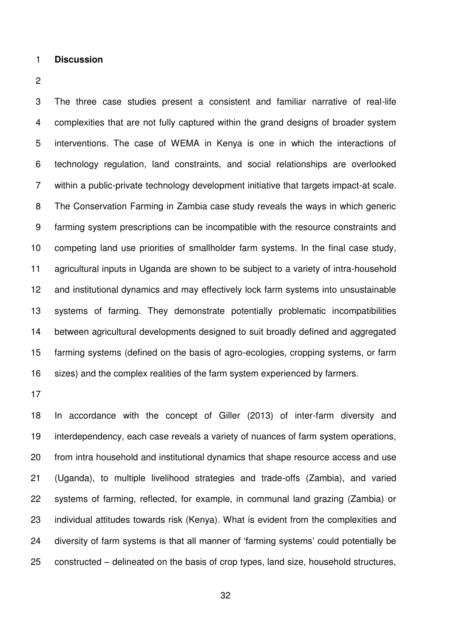**Discussion** 

3 The three case studies present a consistent and familiar narrative of real-life 4 complexities that are not fully captured within the grand designs of broader system 5 interventions. The case of WEMA in Kenya is one in which the interactions of 6 technology regulation, land constraints, and social relationships are overlooked 7 within a public-private technology development initiative that targets impact-at scale. 8 The Conservation Farming in Zambia case study reveals the ways in which generic 9 farming system prescriptions can be incompatible with the resource constraints and competing land use priorities of smallholder farm systems. In the final case study, agricultural inputs in Uganda are shown to be subject to a variety of intra-household and institutional dynamics and may effectively lock farm systems into unsustainable systems of farming. They demonstrate potentially problematic incompatibilities between agricultural developments designed to suit broadly defined and aggregated farming systems (defined on the basis of agro-ecologies, cropping systems, or farm sizes) and the complex realities of the farm system experienced by farmers.

 In accordance with the concept of Giller (2013) of inter-farm diversity and interdependency, each case reveals a variety of nuances of farm system operations, from intra household and institutional dynamics that shape resource access and use (Uganda), to multiple livelihood strategies and trade-offs (Zambia), and varied systems of farming, reflected, for example, in communal land grazing (Zambia) or individual attitudes towards risk (Kenya). What is evident from the complexities and diversity of farm systems is that all manner of 'farming systems' could potentially be constructed – delineated on the basis of crop types, land size, household structures,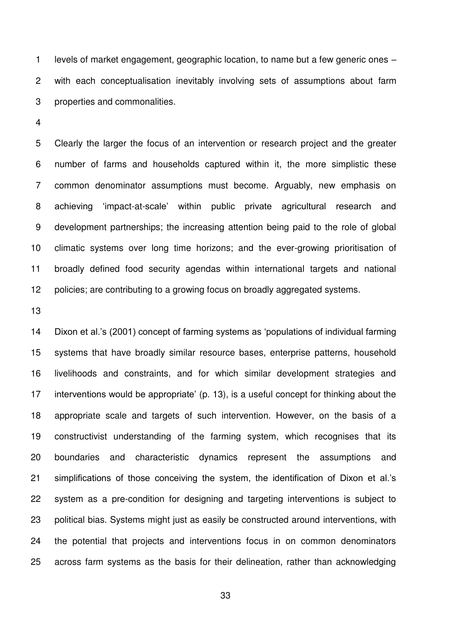1 levels of market engagement, geographic location, to name but a few generic ones – 2 with each conceptualisation inevitably involving sets of assumptions about farm 3 properties and commonalities.

5 Clearly the larger the focus of an intervention or research project and the greater 6 number of farms and households captured within it, the more simplistic these 7 common denominator assumptions must become. Arguably, new emphasis on achieving 'impact-at-scale' within public private agricultural research and 9 development partnerships; the increasing attention being paid to the role of global climatic systems over long time horizons; and the ever-growing prioritisation of broadly defined food security agendas within international targets and national 12 policies; are contributing to a growing focus on broadly aggregated systems.

 Dixon et al.'s (2001) concept of farming systems as 'populations of individual farming systems that have broadly similar resource bases, enterprise patterns, household livelihoods and constraints, and for which similar development strategies and interventions would be appropriate' (p. 13), is a useful concept for thinking about the appropriate scale and targets of such intervention. However, on the basis of a constructivist understanding of the farming system, which recognises that its boundaries and characteristic dynamics represent the assumptions and simplifications of those conceiving the system, the identification of Dixon et al.'s system as a pre-condition for designing and targeting interventions is subject to political bias. Systems might just as easily be constructed around interventions, with the potential that projects and interventions focus in on common denominators across farm systems as the basis for their delineation, rather than acknowledging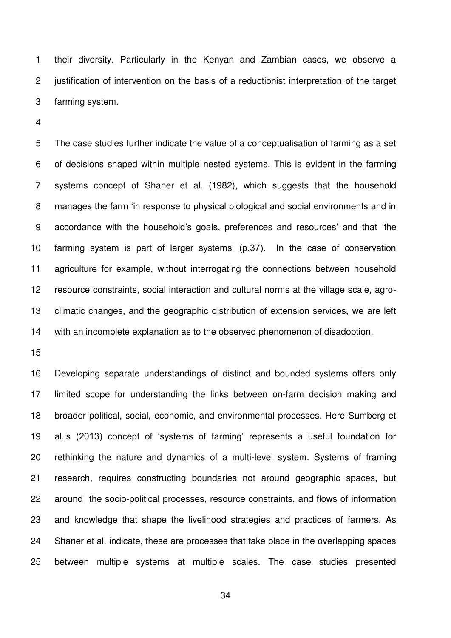1 their diversity. Particularly in the Kenyan and Zambian cases, we observe a 2 justification of intervention on the basis of a reductionist interpretation of the target 3 farming system.

5 The case studies further indicate the value of a conceptualisation of farming as a set 6 of decisions shaped within multiple nested systems. This is evident in the farming 7 systems concept of Shaner et al. (1982), which suggests that the household manages the farm 'in response to physical biological and social environments and in accordance with the household's goals, preferences and resources' and that 'the farming system is part of larger systems' (p.37). In the case of conservation agriculture for example, without interrogating the connections between household resource constraints, social interaction and cultural norms at the village scale, agro- climatic changes, and the geographic distribution of extension services, we are left with an incomplete explanation as to the observed phenomenon of disadoption.

 Developing separate understandings of distinct and bounded systems offers only limited scope for understanding the links between on-farm decision making and broader political, social, economic, and environmental processes. Here Sumberg et al.'s (2013) concept of 'systems of farming' represents a useful foundation for rethinking the nature and dynamics of a multi-level system. Systems of framing research, requires constructing boundaries not around geographic spaces, but around the socio-political processes, resource constraints, and flows of information and knowledge that shape the livelihood strategies and practices of farmers. As Shaner et al. indicate, these are processes that take place in the overlapping spaces between multiple systems at multiple scales. The case studies presented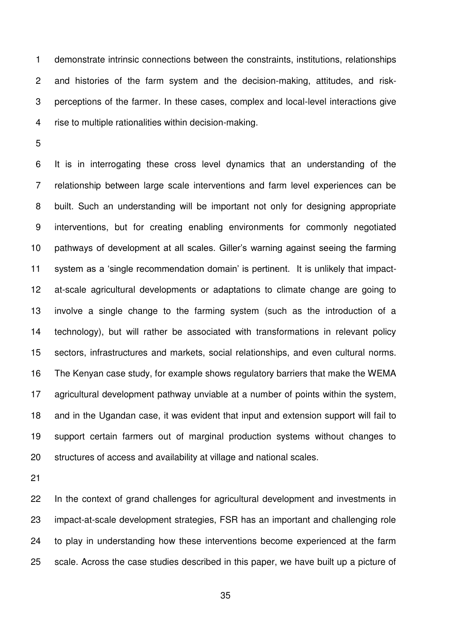1 demonstrate intrinsic connections between the constraints, institutions, relationships 2 and histories of the farm system and the decision-making, attitudes, and risk-3 perceptions of the farmer. In these cases, complex and local-level interactions give 4 rise to multiple rationalities within decision-making.

6 It is in interrogating these cross level dynamics that an understanding of the 7 relationship between large scale interventions and farm level experiences can be 8 built. Such an understanding will be important not only for designing appropriate 9 interventions, but for creating enabling environments for commonly negotiated pathways of development at all scales. Giller's warning against seeing the farming system as a 'single recommendation domain' is pertinent. It is unlikely that impact- at-scale agricultural developments or adaptations to climate change are going to involve a single change to the farming system (such as the introduction of a technology), but will rather be associated with transformations in relevant policy sectors, infrastructures and markets, social relationships, and even cultural norms. The Kenyan case study, for example shows regulatory barriers that make the WEMA agricultural development pathway unviable at a number of points within the system, and in the Ugandan case, it was evident that input and extension support will fail to support certain farmers out of marginal production systems without changes to structures of access and availability at village and national scales.

<span id="page-35-4"></span><span id="page-35-1"></span><span id="page-35-0"></span>

<span id="page-35-3"></span><span id="page-35-2"></span> In the context of grand challenges for agricultural development and investments in impact-at-scale development strategies, FSR has an important and challenging role to play in understanding how these interventions become experienced at the farm scale. Across the case studies described in this paper, we have built up a picture of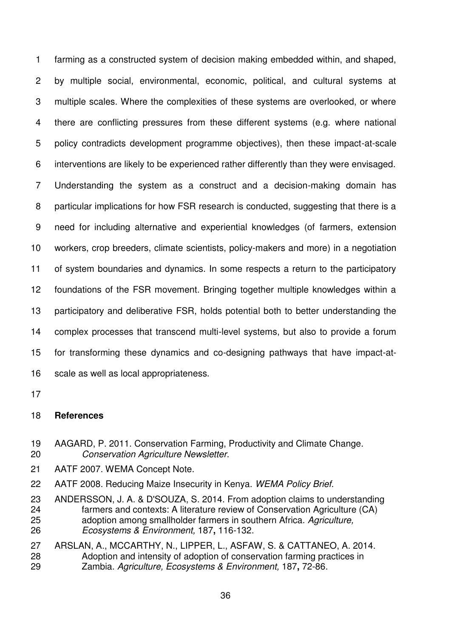<span id="page-36-16"></span><span id="page-36-13"></span><span id="page-36-11"></span><span id="page-36-7"></span><span id="page-36-5"></span><span id="page-36-4"></span>1 farming as a constructed system of decision making embedded within, and shaped, 2 by multiple social, environmental, economic, political, and cultural systems at 3 multiple scales. Where the complexities of these systems are overlooked, or where 4 there are conflicting pressures from these different systems (e.g. where national 5 policy contradicts development programme objectives), then these impact-at-scale 6 interventions are likely to be experienced rather differently than they were envisaged. 7 Understanding the system as a construct and a decision-making domain has 8 particular implications for how FSR research is conducted, suggesting that there is a 9 need for including alternative and experiential knowledges (of farmers, extension workers, crop breeders, climate scientists, policy-makers and more) in a negotiation of system boundaries and dynamics. In some respects a return to the participatory foundations of the FSR movement. Bringing together multiple knowledges within a participatory and deliberative FSR, holds potential both to better understanding the complex processes that transcend multi-level systems, but also to provide a forum for transforming these dynamics and co-designing pathways that have impact-at-scale as well as local appropriateness.

<span id="page-36-12"></span><span id="page-36-10"></span><span id="page-36-8"></span><span id="page-36-3"></span><span id="page-36-2"></span><span id="page-36-0"></span>

### <span id="page-36-14"></span>**References**

- AAGARD, P. 2011. Conservation Farming, Productivity and Climate Change. *Conservation Agriculture Newsletter*.
- <span id="page-36-9"></span>AATF 2007. WEMA Concept Note.
- AATF 2008. Reducing Maize Insecurity in Kenya. *WEMA Policy Brief*.
- <span id="page-36-15"></span><span id="page-36-1"></span> ANDERSSON, J. A. & D'SOUZA, S. 2014. From adoption claims to understanding farmers and contexts: A literature review of Conservation Agriculture (CA) adoption among smallholder farmers in southern Africa. *Agriculture, Ecosystems & Environment,* 187**,** 116-132.
- <span id="page-36-6"></span> ARSLAN, A., MCCARTHY, N., LIPPER, L., ASFAW, S. & CATTANEO, A. 2014. Adoption and intensity of adoption of conservation farming practices in Zambia. *Agriculture, Ecosystems & Environment,* 187**,** 72-86.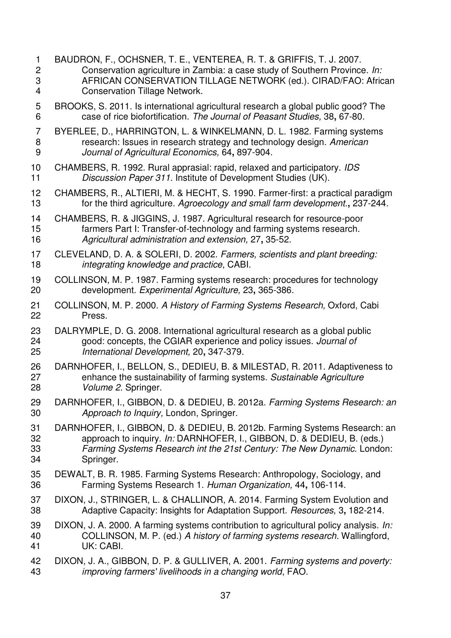<span id="page-37-15"></span><span id="page-37-14"></span><span id="page-37-13"></span><span id="page-37-12"></span><span id="page-37-11"></span><span id="page-37-10"></span><span id="page-37-9"></span><span id="page-37-8"></span><span id="page-37-7"></span><span id="page-37-6"></span><span id="page-37-5"></span><span id="page-37-4"></span><span id="page-37-3"></span><span id="page-37-2"></span><span id="page-37-1"></span><span id="page-37-0"></span>1 BAUDRON, F., OCHSNER, T. E., VENTEREA, R. T. & GRIFFIS, T. J. 2007. 2 Conservation agriculture in Zambia: a case study of Southern Province. *In:* 3 AFRICAN CONSERVATION TILLAGE NETWORK (ed.). CIRAD/FAO: African 4 Conservation Tillage Network. 5 BROOKS, S. 2011. Is international agricultural research a global public good? The 6 case of rice biofortification. *The Journal of Peasant Studies,* 38**,** 67-80. 7 BYERLEE, D., HARRINGTON, L. & WINKELMANN, D. L. 1982. Farming systems 8 research: Issues in research strategy and technology design. *American Journal of Agricultural Economics,* 64**,** 897-904. CHAMBERS, R. 1992. Rural apprasial: rapid, relaxed and participatory. *IDS Discussion Paper 311.* Institute of Development Studies (UK). CHAMBERS, R., ALTIERI, M. & HECHT, S. 1990. Farmer-first: a practical paradigm for the third agriculture. *Agroecology and small farm development.***,** 237-244. CHAMBERS, R. & JIGGINS, J. 1987. Agricultural research for resource-poor farmers Part I: Transfer-of-technology and farming systems research. *Agricultural administration and extension,* 27**,** 35-52. CLEVELAND, D. A. & SOLERI, D. 2002. *Farmers, scientists and plant breeding: integrating knowledge and practice*, CABI. COLLINSON, M. P. 1987. Farming systems research: procedures for technology development. *Experimental Agriculture,* 23**,** 365-386. COLLINSON, M. P. 2000. *A History of Farming Systems Research,* Oxford, Cabi Press. DALRYMPLE, D. G. 2008. International agricultural research as a global public good: concepts, the CGIAR experience and policy issues. *Journal of International Development,* 20**,** 347-379. DARNHOFER, I., BELLON, S., DEDIEU, B. & MILESTAD, R. 2011. Adaptiveness to enhance the sustainability of farming systems. *Sustainable Agriculture Volume 2.* Springer. DARNHOFER, I., GIBBON, D. & DEDIEU, B. 2012a. *Farming Systems Research: an Approach to Inquiry,* London, Springer. DARNHOFER, I., GIBBON, D. & DEDIEU, B. 2012b. Farming Systems Research: an approach to inquiry. *In:* DARNHOFER, I., GIBBON, D. & DEDIEU, B. (eds.) *Farming Systems Research int the 21st Century: The New Dynamic.* London: Springer. DEWALT, B. R. 1985. Farming Systems Research: Anthropology, Sociology, and Farming Systems Research 1. *Human Organization,* 44**,** 106-114. DIXON, J., STRINGER, L. & CHALLINOR, A. 2014. Farming System Evolution and Adaptive Capacity: Insights for Adaptation Support. *Resources,* 3**,** 182-214. DIXON, J. A. 2000. A farming systems contribution to agricultural policy analysis. *In:* COLLINSON, M. P. (ed.) *A history of farming systems research.* Wallingford, UK: CABI. DIXON, J. A., GIBBON, D. P. & GULLIVER, A. 2001. *Farming systems and poverty: improving farmers' livelihoods in a changing world*, FAO.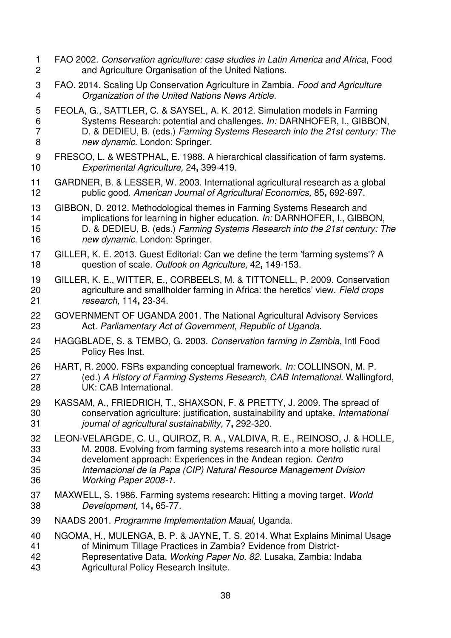- <span id="page-38-1"></span>1 FAO 2002. *Conservation agriculture: case studies in Latin America and Africa*, Food 2 and Agriculture Organisation of the United Nations.
- 3 FAO. 2014. Scaling Up Conservation Agriculture in Zambia. *Food and Agriculture Organization of the United Nations News Article*.
- <span id="page-38-6"></span><span id="page-38-5"></span>5 FEOLA, G., SATTLER, C. & SAYSEL, A. K. 2012. Simulation models in Farming 6 Systems Research: potential and challenges. *In:* DARNHOFER, I., GIBBON, 7 D. & DEDIEU, B. (eds.) *Farming Systems Research into the 21st century: The new dynamic.* London: Springer.
- <span id="page-38-3"></span>9 FRESCO, L. & WESTPHAL, E. 1988. A hierarchical classification of farm systems. *Experimental Agriculture,* 24**,** 399-419.
- <span id="page-38-4"></span> GARDNER, B. & LESSER, W. 2003. International agricultural research as a global public good. *American Journal of Agricultural Economics,* 85**,** 692-697.
- <span id="page-38-8"></span><span id="page-38-0"></span> GIBBON, D. 2012. Methodological themes in Farming Systems Research and implications for learning in higher education. *In:* DARNHOFER, I., GIBBON, D. & DEDIEU, B. (eds.) *Farming Systems Research into the 21st century: The new dynamic.* London: Springer.
- <span id="page-38-2"></span> GILLER, K. E. 2013. Guest Editorial: Can we define the term 'farming systems'? A question of scale. *Outlook on Agriculture,* 42**,** 149-153.
- GILLER, K. E., WITTER, E., CORBEELS, M. & TITTONELL, P. 2009. Conservation agriculture and smallholder farming in Africa: the heretics' view. *Field crops research,* 114**,** 23-34.
- <span id="page-38-11"></span> GOVERNMENT OF UGANDA 2001. The National Agricultural Advisory Services Act. *Parliamentary Act of Government, Republic of Uganda.*
- HAGGBLADE, S. & TEMBO, G. 2003. *Conservation farming in Zambia*, Intl Food Policy Res Inst.
- <span id="page-38-12"></span> HART, R. 2000. FSRs expanding conceptual framework. *In:* COLLINSON, M. P. (ed.) *A History of Farming Systems Research, CAB International.* Wallingford, UK: CAB International.
- <span id="page-38-9"></span> KASSAM, A., FRIEDRICH, T., SHAXSON, F. & PRETTY, J. 2009. The spread of conservation agriculture: justification, sustainability and uptake. *International journal of agricultural sustainability,* 7**,** 292-320.
- <span id="page-38-10"></span><span id="page-38-7"></span> LEON-VELARGDE, C. U., QUIROZ, R. A., VALDIVA, R. E., REINOSO, J. & HOLLE, M. 2008. Evolving from farming systems research into a more holistic rural develoment approach: Experiences in the Andean region. *Centro Internacional de la Papa (CIP) Natural Resource Management Dvision Working Paper 2008-1.*
- MAXWELL, S. 1986. Farming systems research: Hitting a moving target. *World Development,* 14**,** 65-77.
- NAADS 2001. *Programme Implementation Maual,* Uganda.
- NGOMA, H., MULENGA, B. P. & JAYNE, T. S. 2014. What Explains Minimal Usage of Minimum Tillage Practices in Zambia? Evidence from District-
- Representative Data. *Working Paper No. 82.* Lusaka, Zambia: Indaba
- Agricultural Policy Research Insitute.